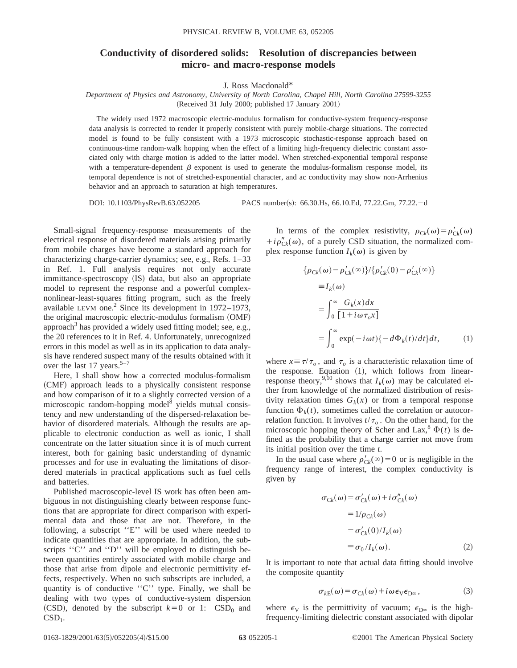## **Conductivity of disordered solids: Resolution of discrepancies between micro- and macro-response models**

J. Ross Macdonald\*

*Department of Physics and Astronomy, University of North Carolina, Chapel Hill, North Carolina 27599-3255*  $(Received 31 July 2000; published 17 January 2001)$ 

The widely used 1972 macroscopic electric-modulus formalism for conductive-system frequency-response data analysis is corrected to render it properly consistent with purely mobile-charge situations. The corrected model is found to be fully consistent with a 1973 microscopic stochastic-response approach based on continuous-time random-walk hopping when the effect of a limiting high-frequency dielectric constant associated only with charge motion is added to the latter model. When stretched-exponential temporal response with a temperature-dependent  $\beta$  exponent is used to generate the modulus-formalism response model, its temporal dependence is not of stretched-exponential character, and ac conductivity may show non-Arrhenius behavior and an approach to saturation at high temperatures.

DOI: 10.1103/PhysRevB.63.052205 PACS number(s): 66.30.Hs, 66.10.Ed, 77.22.Gm, 77.22.-d

Small-signal frequency-response measurements of the electrical response of disordered materials arising primarily from mobile charges have become a standard approach for characterizing charge-carrier dynamics; see, e.g., Refs. 1–33 in Ref. 1. Full analysis requires not only accurate immittance-spectroscopy (IS) data, but also an appropriate model to represent the response and a powerful complexnonlinear-least-squares fitting program, such as the freely available LEVM one.<sup>2</sup> Since its development in  $1972-1973$ , the original macroscopic electric-modulus formalism (OMF) approach<sup>3</sup> has provided a widely used fitting model; see, e.g., the 20 references to it in Ref. 4. Unfortunately, unrecognized errors in this model as well as in its application to data analysis have rendered suspect many of the results obtained with it over the last 17 years. $5-7$ 

Here, I shall show how a corrected modulus-formalism (CMF) approach leads to a physically consistent response and how comparison of it to a slightly corrected version of a microscopic random-hopping model $\delta$  yields mutual consistency and new understanding of the dispersed-relaxation behavior of disordered materials. Although the results are applicable to electronic conduction as well as ionic, I shall concentrate on the latter situation since it is of much current interest, both for gaining basic understanding of dynamic processes and for use in evaluating the limitations of disordered materials in practical applications such as fuel cells and batteries.

Published macroscopic-level IS work has often been ambiguous in not distinguishing clearly between response functions that are appropriate for direct comparison with experimental data and those that are not. Therefore, in the following, a subscript ''E'' will be used where needed to indicate quantities that are appropriate. In addition, the subscripts "C" and "D" will be employed to distinguish between quantities entirely associated with mobile charge and those that arise from dipole and electronic permittivity effects, respectively. When no such subscripts are included, a quantity is of conductive ''C'' type. Finally, we shall be dealing with two types of conductive-system dispersion (CSD), denoted by the subscript  $k=0$  or 1: CSD<sub>0</sub> and  $CSD<sub>1</sub>$ .

In terms of the complex resistivity,  $\rho_{Ck}(\omega) = \rho'_{Ck}(\omega)$  $+i\rho''_{Ck}(\omega)$ , of a purely CSD situation, the normalized complex response function  $I_k(\omega)$  is given by

$$
\begin{aligned} \{\rho_{Ck}(\omega) - \rho'_{Ck}(\infty)\} / \{\rho'_{Ck}(0) - \rho'_{Ck}(\infty)\} \\ &= I_k(\omega) \\ &= \int_0^\infty \frac{G_k(x)dx}{[1 + i\omega \tau_o x]} \\ &= \int_0^\infty \exp(-i\omega t) \{-d\Phi_k(t)/dt\} dt, \end{aligned} \tag{1}
$$

where  $x = \tau/\tau_o$ , and  $\tau_o$  is a characteristic relaxation time of the response. Equation  $(1)$ , which follows from linearresponse theory,<sup>9,10</sup> shows that  $I_k(\omega)$  may be calculated either from knowledge of the normalized distribution of resistivity relaxation times  $G_k(x)$  or from a temporal response function  $\Phi_k(t)$ , sometimes called the correlation or autocorrelation function. It involves  $t/\tau_o$ . On the other hand, for the microscopic hopping theory of Scher and Lax,  $\oint$   $\Phi(t)$  is defined as the probability that a charge carrier not move from its initial position over the time *t*.

In the usual case where  $\rho'_{Ck}(\infty)=0$  or is negligible in the frequency range of interest, the complex conductivity is given by

$$
\sigma_{Ck}(\omega) = \sigma'_{Ck}(\omega) + i\sigma''_{Ck}(\omega)
$$
  
= 1/ $\rho_{Ck}(\omega)$   
=  $\sigma'_{Ck}(0)/I_k(\omega)$   
=  $\sigma_0/I_k(\omega)$ . (2)

It is important to note that actual data fitting should involve the composite quantity

$$
\sigma_{kE}(\omega) = \sigma_{Ck}(\omega) + i\omega \epsilon_{V} \epsilon_{D^{\infty}}, \qquad (3)
$$

where  $\epsilon_V$  is the permittivity of vacuum;  $\epsilon_{D^\infty}$  is the highfrequency-limiting dielectric constant associated with dipolar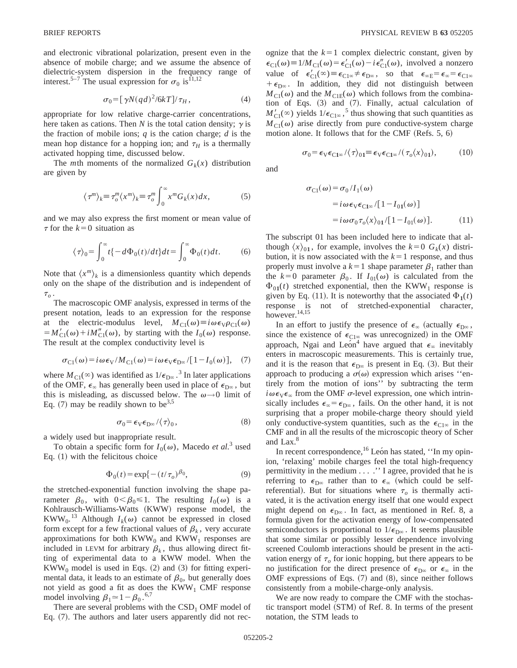and electronic vibrational polarization, present even in the absence of mobile charge; and we assume the absence of dielectric-system dispersion in the frequency range of interest.<sup>5–7</sup> The usual expression for  $\sigma_0$  is<sup>11,12</sup>

$$
\sigma_0 = \left[\gamma N (q d)^2 / 6k T\right] / \tau_H,\tag{4}
$$

appropriate for low relative charge-carrier concentrations, here taken as cations. Then *N* is the total cation density;  $\gamma$  is the fraction of mobile ions; *q* is the cation charge; *d* is the mean hop distance for a hopping ion; and  $\tau$ <sup>H</sup> is a thermally activated hopping time, discussed below.

The *m*th moments of the normalized  $G_k(x)$  distribution are given by

$$
\langle \tau^m \rangle_k \equiv \tau_o^m \langle x^m \rangle_k \equiv \tau_o^m \int_0^\infty x^m G_k(x) dx, \tag{5}
$$

and we may also express the first moment or mean value of  $\tau$  for the  $k=0$  situation as

$$
\langle \tau \rangle_0 = \int_0^\infty t \{ -d\Phi_0(t)/dt \} dt = \int_0^\infty \Phi_0(t) dt.
$$
 (6)

Note that  $\langle x^m \rangle_k$  is a dimensionless quantity which depends only on the shape of the distribution and is independent of  $\tau_{o}$  .

The macroscopic OMF analysis, expressed in terms of the present notation, leads to an expression for the response at the electric-modulus level,  $M_{\text{Cl}}(\omega) \equiv i \omega \epsilon_{\text{V}} \rho_{\text{Cl}}(\omega)$  $=M'_{\text{Cl}}(\omega)+iM''_{\text{Cl}}(\omega)$ , by starting with the  $I_0(\omega)$  response. The result at the complex conductivity level is

$$
\sigma_{\text{C1}}(\omega) = i \omega \epsilon_{\text{V}} / M_{\text{C1}}(\omega) = i \omega \epsilon_{\text{V}} \epsilon_{\text{D}\infty} / [1 - I_0(\omega)], \quad (7)
$$

where  $M_{\text{Cl}}(\infty)$  was identified as  $1/\epsilon_{\text{D}\infty}$ .<sup>3</sup> In later applications of the OMF,  $\epsilon_{\infty}$  has generally been used in place of  $\epsilon_{D^{\infty}}$ , but this is misleading, as discussed below. The  $\omega \rightarrow 0$  limit of Eq.  $(7)$  may be readily shown to be<sup>3,5</sup>

$$
\sigma_0 = \epsilon_V \epsilon_{D^\infty} / \langle \tau \rangle_0, \tag{8}
$$

a widely used but inappropriate result.

To obtain a specific form for  $I_0(\omega)$ , Macedo *et al.*<sup>3</sup> used Eq.  $(1)$  with the felicitous choice

$$
\Phi_0(t) = \exp\{- (t/\tau_o)^{\beta_0},\tag{9}
$$

the stretched-exponential function involving the shape parameter  $\beta_0$ , with  $0 < \beta_0 \le 1$ . The resulting *I*<sub>0</sub>( $\omega$ ) is a Kohlrausch-Williams-Watts (KWW) response model, the KWW<sub>0</sub>.<sup>13</sup> Although  $I_k(\omega)$  cannot be expressed in closed form except for a few fractional values of  $\beta_k$ , very accurate approximations for both  $KWW_0$  and  $KWW_1$  responses are included in LEVM for arbitrary  $\beta_k$ , thus allowing direct fitting of experimental data to a KWW model. When the  $KWW<sub>0</sub>$  model is used in Eqs. (2) and (3) for fitting experimental data, it leads to an estimate of  $\beta_0$ , but generally does not yield as good a fit as does the  $KWW<sub>1</sub>$  CMF response model involving  $\beta_1 \approx 1 - \beta_0$ .<sup>6,7</sup>

There are several problems with the  $CSD<sub>1</sub>$  OMF model of Eq.  $(7)$ . The authors and later users apparently did not recognize that the  $k=1$  complex dielectric constant, given by  $\epsilon_{\text{Cl}}(\omega) \equiv 1/M_{\text{Cl}}(\omega) = \epsilon'_{\text{Cl}}(\omega) - i \epsilon''_{\text{Cl}}(\omega)$ , involved a nonzero value of  $\epsilon'_{C1}(\infty) \equiv \epsilon_{C1\infty} \neq \epsilon_{D\infty}$ , so that  $\epsilon_{\infty E} = \epsilon_{\infty} = \epsilon_{C1\infty}$  $+ \epsilon_{D\infty}$ . In addition, they did not distinguish between  $M_{\text{Cl}}(\omega)$  and the  $M_{\text{Cl}}(\omega)$  which follows from the combination of Eqs.  $(3)$  and  $(7)$ . Finally, actual calculation of  $M'_{\text{Cl}}(\infty)$  yields  $1/\epsilon_{\text{Cl}\infty}$ ,<sup>5</sup> thus showing that such quantities as  $M_{\text{Cl}}(\omega)$  arise directly from pure conductive-system charge motion alone. It follows that for the CMF (Refs.  $5, 6$ )

$$
\sigma_0 = \epsilon_V \epsilon_{C1\infty} / \langle \tau \rangle_{01} \equiv \epsilon_V \epsilon_{C1\infty} / (\tau_o \langle x \rangle_{01}), \quad (10)
$$

and

$$
\sigma_{\text{Cl}}(\omega) = \sigma_0 / I_1(\omega)
$$
  
=  $i \omega \epsilon_{\text{V}} \epsilon_{\text{Cl}\omega} / [1 - I_{01}(\omega)]$   
=  $i \omega \sigma_0 \tau_o \langle x \rangle_{01} / [1 - I_{01}(\omega)].$  (11)

The subscript 01 has been included here to indicate that although  $\langle x \rangle_{01}$ , for example, involves the  $k=0$   $G_k(x)$  distribution, it is now associated with the  $k=1$  response, and thus properly must involve a  $k=1$  shape parameter  $\beta_1$  rather than the  $k=0$  parameter  $\beta_0$ . If  $I_{01}(\omega)$  is calculated from the  $\Phi_{01}(t)$  stretched exponential, then the KWW<sub>1</sub> response is given by Eq. (11). It is noteworthy that the associated  $\Phi_1(t)$ response is not of stretched-exponential character, however.14,15

In an effort to justify the presence of  $\epsilon_{\infty}$  (actually  $\epsilon_{D\infty}$ , since the existence of  $\epsilon_{C1\infty}$  was unrecognized) in the OMF approach, Ngai and León<sup>4</sup> have argued that  $\epsilon_{\infty}$  inevitably enters in macroscopic measurements. This is certainly true, and it is the reason that  $\epsilon_{D^\infty}$  is present in Eq. (3). But their approach to producing a  $\sigma(\omega)$  expression which arises "entirely from the motion of ions'' by subtracting the term  $i\omega \epsilon_{V} \epsilon_{\infty}$  from the OMF  $\sigma$ -level expression, one which intrinsically includes  $\epsilon_{\infty} = \epsilon_{D\infty}$ , fails. On the other hand, it is not surprising that a proper mobile-charge theory should yield only conductive-system quantities, such as the  $\epsilon_{C1\infty}$  in the CMF and in all the results of the microscopic theory of Scher and Lax.<sup>8</sup>

In recent correspondence,  $^{16}$  Leon has stated, "In my opinion, 'relaxing' mobile charges feel the total high-frequency permittivity in the medium . . . .'' I agree, provided that he is referring to  $\epsilon_{D^\infty}$  rather than to  $\epsilon_\infty$  (which could be selfreferential). But for situations where  $\tau_o$  is thermally activated, it is the activation energy itself that one would expect might depend on  $\epsilon_{D^\infty}$ . In fact, as mentioned in Ref. 8, a formula given for the activation energy of low-compensated semiconductors is proportional to  $1/\epsilon_{\text{D}\infty}$ . It seems plausible that some similar or possibly lesser dependence involving screened Coulomb interactions should be present in the activation energy of  $\tau$ <sub>o</sub> for ionic hopping, but there appears to be no justification for the direct presence of  $\epsilon_{D^\infty}$  or  $\epsilon_\infty$  in the OMF expressions of Eqs.  $(7)$  and  $(8)$ , since neither follows consistently from a mobile-charge-only analysis.

We are now ready to compare the CMF with the stochastic transport model (STM) of Ref. 8. In terms of the present notation, the STM leads to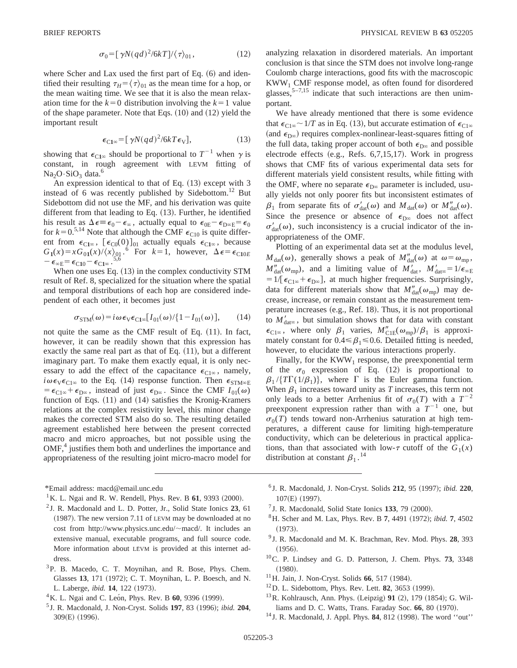$$
\sigma_0 = \left[\gamma N (q d)^2 / 6k T\right] / \langle \tau \rangle_{01},\tag{12}
$$

where Scher and Lax used the first part of Eq.  $(6)$  and identified their resulting  $\tau_H = \langle \tau \rangle_{01}$  as the mean time for a hop, or the mean waiting time. We see that it is also the mean relaxation time for the  $k=0$  distribution involving the  $k=1$  value of the shape parameter. Note that Eqs.  $(10)$  and  $(12)$  yield the important result

$$
\epsilon_{C1\infty} = [\gamma N (q d)^2 / 6k T \epsilon_V], \tag{13}
$$

showing that  $\epsilon_{C1\infty}$  should be proportional to  $T^{-1}$  when  $\gamma$  is constant, in rough agreement with LEVM fitting of  $Na<sub>2</sub>O·SiO<sub>3</sub> data.<sup>6</sup>$ 

An expression identical to that of Eq.  $(13)$  except with 3 instead of 6 was recently published by Sidebottom.<sup>12</sup> But Sidebottom did not use the MF, and his derivation was quite different from that leading to Eq.  $(13)$ . Further, he identified his result as  $\Delta \epsilon = \epsilon_0 - \epsilon_{\infty}$ , actually equal to  $\epsilon_{0E} - \epsilon_{D\infty E} = \epsilon_0$ for  $k=0.5,14$  Note that although the CMF  $\epsilon_{C10}$  is quite different from  $\epsilon_{C1\infty}$ ,  $[\epsilon_{C0}(0)]_{01}$  actually equals  $\epsilon_{C1\infty}$ , because  $G_1(x) = xG_{01}(x)/\langle x \rangle_{01}$ .<sup>6</sup> For  $k = 1$ , however,  $\Delta \epsilon = \epsilon_{C10E}$  $-\epsilon_{\infty E}=\epsilon_{C10}-\epsilon_{C1^{\infty}}$ .

When one uses Eq.  $(13)$  in the complex conductivity STM result of Ref. 8, specialized for the situation where the spatial and temporal distributions of each hop are considered independent of each other, it becomes just

$$
\sigma_{\text{STM}}(\omega) = i \omega \epsilon_{\text{V}} \epsilon_{\text{Cl}\infty} [I_{01}(\omega) / \{1 - I_{01}(\omega)\}, \qquad (14)
$$

not quite the same as the CMF result of Eq.  $(11)$ . In fact, however, it can be readily shown that this expression has exactly the same real part as that of Eq.  $(11)$ , but a different imaginary part. To make them exactly equal, it is only necessary to add the effect of the capacitance  $\epsilon_{C1\infty}$ , namely,  $i\omega \epsilon_{\text{V}} \epsilon_{\text{Cl}\infty}$  to the Eq. (14) response function. Then  $\epsilon_{\text{STM}\infty}$ E  $= \epsilon_{C1\infty} + \epsilon_{D\infty}$ , instead of just  $\epsilon_{D\infty}$ . Since the CMF  $I_{01}(\omega)$ function of Eqs.  $(11)$  and  $(14)$  satisfies the Kronig-Kramers relations at the complex resistivity level, this minor change makes the corrected STM also do so. The resulting detailed agreement established here between the present corrected macro and micro approaches, but not possible using the  $OMF<sub>1</sub><sup>4</sup>$  justifies them both and underlines the importance and appropriateness of the resulting joint micro-macro model for

\*Email address: macd@email.unc.edu

<sup>3</sup>P. B. Macedo, C. T. Moynihan, and R. Bose, Phys. Chem. Glasses 13, 171 (1972); C. T. Moynihan, L. P. Boesch, and N. L. Laberge, *ibid.* **14**, 122 (1973).

analyzing relaxation in disordered materials. An important conclusion is that since the STM does not involve long-range Coulomb charge interactions, good fits with the macroscopic  $KWW<sub>1</sub>$  CMF response model, as often found for disordered glasses,  $5-7.15$  indicate that such interactions are then unimportant.

We have already mentioned that there is some evidence that  $\epsilon_{C1\infty}$  ~ 1/*T* as in Eq. (13), but accurate estimation of  $\epsilon_{C1\infty}$ (and  $\epsilon_{D\infty}$ ) requires complex-nonlinear-least-squares fitting of the full data, taking proper account of both  $\epsilon_{D\infty}$  and possible electrode effects  $(e.g., Refs. 6,7,15,17)$ . Work in progress shows that CMF fits of various experimental data sets for different materials yield consistent results, while fitting with the OMF, where no separate  $\epsilon_{D^\infty}$  parameter is included, usually yields not only poorer fits but inconsistent estimates of  $\beta_1$  from separate fits of  $\sigma'_{\text{dat}}(\omega)$  and  $M_{\text{dat}}(\omega)$  or  $M''_{\text{dat}}(\omega)$ . Since the presence or absence of  $\epsilon_{D\infty}$  does not affect  $\sigma'_{dat}(\omega)$ , such inconsistency is a crucial indicator of the inappropriateness of the OMF.

Plotting of an experimental data set at the modulus level,  $M_{\text{dat}}(\omega)$ , generally shows a peak of  $M''_{\text{dat}}(\omega)$  at  $\omega = \omega_{\text{mp}}$ ,  $M''_{\text{dat}}(\omega_{\text{mp}})$ , and a limiting value of  $M'_{\text{dat}}$ ,  $M'_{\text{dat}\infty} = 1/\epsilon_{\infty}$  $=1/[\epsilon_{C1\infty}+\epsilon_{D\infty}]$ , at much higher frequencies. Surprisingly, data for different materials show that  $M''_{\text{dat}}(\omega_{\text{mp}})$  may decrease, increase, or remain constant as the measurement temperature increases (e.g., Ref. 18). Thus, it is not proportional to  $M_{\text{data}}'$ , but simulation shows that for data with constant  $\epsilon_{C1\infty}$ , where only  $\beta_1$  varies,  $M''_{C1E} (\omega_{\rm mp})/\beta_1$  is approximately constant for  $0.4 \leq \beta_1 \leq 0.6$ . Detailed fitting is needed, however, to elucidate the various interactions properly.

Finally, for the  $KWW_1$  response, the preexponential term of the  $\sigma_0$  expression of Eq. (12) is proportional to  $\beta_1$ /{ $T\Gamma(1/\beta_1)$ }, where  $\Gamma$  is the Euler gamma function. When  $\beta_1$  increases toward unity as *T* increases, this term not only leads to a better Arrhenius fit of  $\sigma_0(T)$  with a  $T^{-2}$ preexponent expression rather than with a  $T^{-1}$  one, but  $\sigma_0(T)$  tends toward non-Arrhenius saturation at high temperatures, a different cause for limiting high-temperature conductivity, which can be deleterious in practical applications, than that associated with low- $\tau$  cutoff of the  $G_1(x)$ distribution at constant  $\beta_1$ .<sup>14</sup>

- <sup>6</sup> J. R. Macdonald, J. Non-Cryst. Solids **212**, 95 ~1997!; *ibid.* **220**, 107(E) (1997).
- $7$  J. R. Macdonald, Solid State Ionics 133, 79  $(2000)$ .
- 8H. Scher and M. Lax, Phys. Rev. B **7**, 4491 ~1972!; *ibid.* **7**, 4502  $(1973).$
- <sup>9</sup> J. R. Macdonald and M. K. Brachman, Rev. Mod. Phys. **28**, 393  $(1956).$
- 10C. P. Lindsey and G. D. Patterson, J. Chem. Phys. **73**, 3348  $(1980).$
- <sup>11</sup>H. Jain, J. Non-Cryst. Solids **66**, 517 (1984).
- $12$ D. L. Sidebottom, Phys. Rev. Lett. **82**, 3653 (1999).
- <sup>13</sup> R. Kohlrausch, Ann. Phys. (Leipzig) 91 (2), 179 (1854); G. Williams and D. C. Watts, Trans. Faraday Soc. 66, 80 (1970).
- <sup>14</sup> J. R. Macdonald, J. Appl. Phys. **84**, 812 (1998). The word ''out''

<sup>&</sup>lt;sup>1</sup> K. L. Ngai and R. W. Rendell, Phys. Rev. B  $61$ , 9393 (2000).

<sup>2</sup> J. R. Macdonald and L. D. Potter, Jr., Solid State Ionics **23**, 61  $(1987)$ . The new version 7.11 of LEVM may be downloaded at no cost from http://www.physics.unc.edu/~macd/. It includes an extensive manual, executable programs, and full source code. More information about LEVM is provided at this internet address.

<sup>&</sup>lt;sup>4</sup> K. L. Ngai and C. Leon, Phys. Rev. B **60**, 9396 (1999).

<sup>5</sup> J. R. Macdonald, J. Non-Cryst. Solids **197**, 83 ~1996!; *ibid.* **204**, 309(E) (1996).